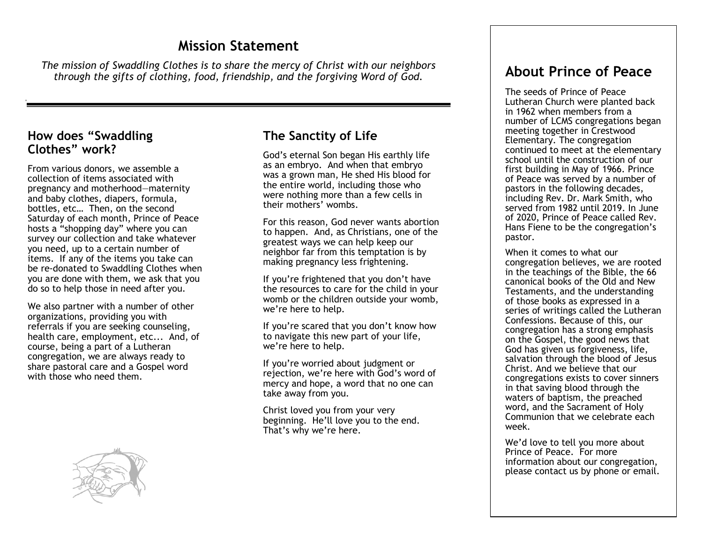## **Mission Statement**

*The mission of Swaddling Clothes is to share the mercy of Christ with our neighbors through the gifts of clothing, food, friendship, and the forgiving Word of God.*

#### **How does "Swaddling Clothes" work?**

From various donors, we assemble a collection of items associated with pregnancy and motherhood—maternity and baby clothes, diapers, formula, bottles, etc… Then, on the second Saturday of each month, Prince of Peace hosts a "shopping day" where you can survey our collection and take whatever you need, up to a certain number of items. If any of the items you take can be re-donated to Swaddling Clothes when you are done with them, we ask that you do so to help those in need after you.

We also partner with a number of other organizations, providing you with referrals if you are seeking counseling, health care, employment, etc... And, of course, being a part of a Lutheran congregation, we are always ready to share pastoral care and a Gospel word with those who need them.



### **The Sanctity of Life**

God's eternal Son began His earthly life as an embryo. And when that embryo was a grown man, He shed His blood for the entire world, including those who were nothing more than a few cells in their mothers' wombs.

For this reason, God never wants abortion to happen. And, as Christians, one of the greatest ways we can help keep our neighbor far from this temptation is by making pregnancy less frightening.

If you're frightened that you don't have the resources to care for the child in your womb or the children outside your womb, we're here to help.

If you're scared that you don't know how to navigate this new part of your life, we're here to help.

If you're worried about judgment or rejection, we're here with God's word of mercy and hope, a word that no one can take away from you.

Christ loved you from your very beginning. He'll love you to the end. That's why we're here.

# **About Prince of Peace**

The seeds of Prince of Peace Lutheran Church were planted back in 1962 when members from a number of LCMS congregations began meeting together in Crestwood Elementary. The congregation continued to meet at the elementary school until the construction of our first building in May of 1966. Prince of Peace was served by a number of pastors in the following decades, including Rev. Dr. Mark Smith, who served from 1982 until 2019. In June of 2020, Prince of Peace called Rev. Hans Fiene to be the congregation's pastor.

When it comes to what our congregation believes, we are rooted in the teachings of the Bible, the 66 canonical books of the Old and New Testaments, and the understanding of those books as expressed in a series of writings called the Lutheran Confessions. Because of this, our congregation has a strong emphasis on the Gospel, the good news that God has given us forgiveness, life, salvation through the blood of Jesus Christ. And we believe that our congregations exists to cover sinners in that saving blood through the waters of baptism, the preached word, and the Sacrament of Holy Communion that we celebrate each week.

We'd love to tell you more about Prince of Peace. For more information about our congregation, please contact us by phone or email.